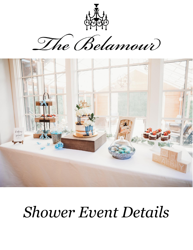

The Belamour



# *Shower Event Details*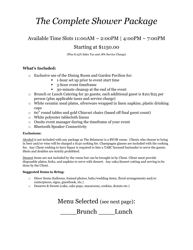# *The Complete Shower Package*

## Available Time Slots 11:00AM – 2:00PM | 4:00PM – 7:00PM

### Starting at \$1150.00

(Plus 8.25% Sales Tax and 18% Service Charge)

### **What's Included:**

- o Exclusive use of the Dining Room and Garden Pavilion for:
	- 1-hour set up prior to event start time
	- 3-hour event time frame
	- 30-minute cleanup at the end of the event
- o Brunch or Lunch Catering for 30 guests; each additional guest is \$20/\$25 per person (plus applicable taxes and service charge)
- o White ceramic meal plates, silverware wrapped in linen napkins, plastic drinking cups
- o 60" round tables and gold Chiavari chairs (based off final guest count)
- o White polyester tablecloth linens
- o Onsite event manager during the timeframe of your event
- o Bluetooth Speaker Connectivity

#### **Exclusions:**

Alcohol is not included with any package as The Belamour is a BYOB venue. Clients who choose to bring in beer and/or wine will be charged a \$150 corking fee. Champagne glasses are included with the corking fee. Any Client wishing to have liquor is required to hire a TABC licensed bartender to serve the guests. Shots and doubles are strictly prohibited.

Dessert items are not included by the venue but can be brought in by Client. Client must provide disposable plates, forks, and napkins to serve with dessert. Any cake/dessert cutting and serving to be done by the Client.

#### **Suggested Items to Bring:**

- o Décor Items (balloons, framed photos, baby/wedding items, floral arrangements and/or centerpieces, signs, guestbook, etc.)
- o Desserts & Sweets (cake, cake pops, macaroons, cookies, donuts etc.)

Menu Selected (see next page): Brunch Lunch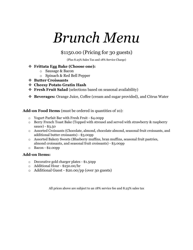# *Brunch Menu*

### \$1150.00 (Pricing for 30 guests)

(Plus 8.25% Sales Tax and 18% Service Charge)

### ❖ **Frittata Egg Bake (Choose one):**

- o Sausage & Bacon
- o Spinach & Red Bell Pepper
- ❖ **Butter Croissants**
- ❖ **Cheesy Potato Gratin Hash**
- ❖ **Fresh Fruit Salad** (selections based on seasonal availability)
- ❖ **Beverages:** Orange Juice, Coffee (cream and sugar provided), and Citrus Water

### **Add-on Food Items** (must be ordered in quantities of 10):

- o Yogurt Parfait Bar with Fresh Fruit \$4.00pp
- o Berry French Toast Bake (Topped with streusel and served with strawberry & raspberry sauce) - \$3.50
- o Assorted Croissants (Chocolate, almond, chocolate almond, seasonal fruit croissants, and additional butter croissants) - \$3.00pp
- o Assorted Bakery Sweets (Blueberry muffins, bran muffins, seasonal fruit pastries, almond croissants, and seasonal fruit croissants) - \$3.00pp
- o Bacon \$2.00pp

### **Add-on Items:**

- o Decorative gold charger plates \$1.50pp
- o Additional Hour \$250.00/hr
- o Additional Guest \$20.00/pp (over 30 guests)

All prices above are subject to an 18% service fee and 8.25% sales tax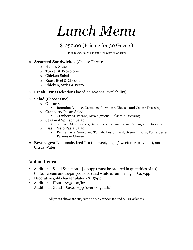# *Lunch Menu*

### \$1250.00 (Pricing for 30 Guests)

(Plus 8.25% Sales Tax and 18% Service Charge)

### ❖ **Assorted Sandwiches** (Choose Three):

- $\circ$  Ham & Swiss
- o Turkey & Provolone
- o Chicken Salad
- o Roast Beef & Cheddar
- o Chicken, Swiss & Pesto
- ❖ **Fresh Fruit** (selections based on seasonal availability)
- ❖ **Salad** (Choose One):
	- o Caesar Salad
		- Romaine Lettuce, Croutons, Parmesan Cheese, and Caesar Dressing
	- o Cranberry Pecan Salad
		- Cranberries, Pecans, Mixed greens, Balsamic Dressing
	- o Seasonal Spinach Salad
		- Spinach, Strawberries, Bacon, Feta, Pecans, French Vinaigrette Dressing
	- o Basil Pesto Pasta Salad
		- Penne Pasta, Sun-dried Tomato Pesto, Basil, Green Onions, Tomatoes & Parmesan Cheese
- ❖ **Beverages:** Lemonade, Iced Tea (unsweet, sugar/sweetener provided), and Citrus Water

### **Add-on Items:**

- o Additional Salad Selection \$3.50pp (must be ordered in quantities of 10)
- o Coffee (cream and sugar provided) and white ceramic mugs \$2.75pp
- o Decorative gold charger plates \$1.50pp
- o Additional Hour \$250.00/hr
- o Additional Guest \$25.00/pp (over 30 guests)

All prices above are subject to an 18% service fee and 8.25% sales tax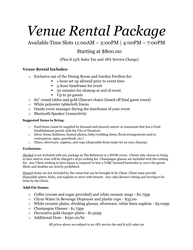# *Venue Rental Package*

Available Time Slots 11:00AM – 2:00PM | 4:00PM – 7:00PM

### Starting at \$800.00

(Plus 8.25% Sales Tax and 18% Service Charge)

### **Venue Rental Includes:**

- o Exclusive use of the Dining Room and Garden Pavilion for:
	- 1-hour set up allowed prior to event time
	- 3-hour timeframe for event
	- 30 minutes for cleanup at end of event
	- Up to 30 guests
- o 60" round tables and gold Chiavari chairs (based off final guest count)
- o White polyester tablecloth linens
- o Onsite event manager during the timeframe of your event
- o Bluetooth Speaker Connectivity

#### **Suggested Items to Bring:**

- o Food items (must be supplied by licensed and insured caterer or restaurant that has a Food Establishment permit with the City of Houston)
- o Décor Items (balloons, framed photos, baby/wedding items, floral arrangements and/or centerpieces, signs, guestbook, etc.)
- o Plates, silverware, napkins, and cups (disposable items make for an easy cleanup)

#### **Exclusions:**

Alcohol is not included with any package as The Belamour is a BYOB venue. Clients who choose to bring in beer and/or wine will be charged a \$150 corking fee. Champagne glasses are included with the corking fee. Any Client wishing to have liquor is required to hire a TABC licensed bartender to serve the guests. Shots and doubles are strictly prohibited.

Dessert items are not included by the venue but can be brought in by Client. Client must provide disposable plates, forks, and napkins to serve with dessert. Any cake/dessert cutting and serving to be done by the Client.

### **Add-On Items:**

- o Coffee (cream and sugar provided) and white ceramic mugs \$2.75pp
- o Citrus Water in Beverage Dispenser and plastic cups \$35.00
- o White ceramic plates, drinking glasses, silverware, white linen napkins \$5.00pp
- o Champagne Glasses \$1.75pp
- o Decorative gold charger plates \$1.50pp
- o Additional Hour \$250.00/hr

All prices above are subject to an 18% service fee and 8.25% sales tax